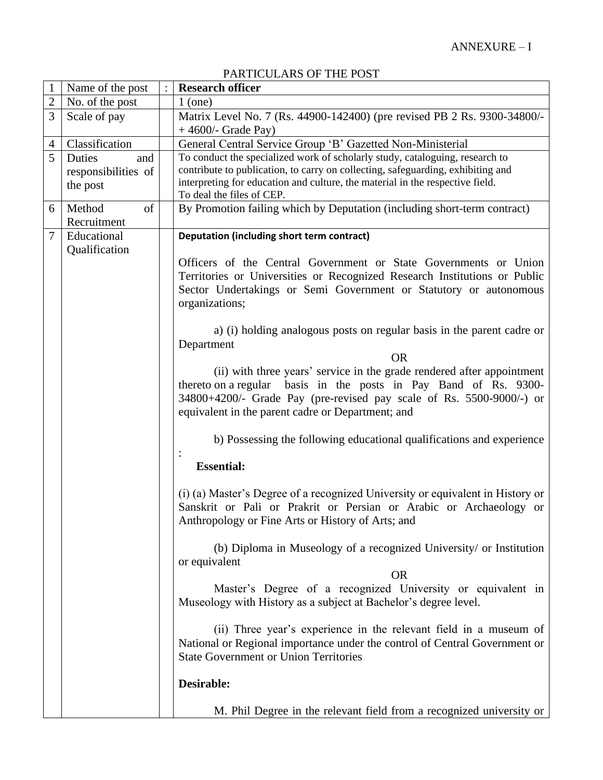|   | Name of the post    | <b>Research officer</b>                                                                                                                              |  |  |  |
|---|---------------------|------------------------------------------------------------------------------------------------------------------------------------------------------|--|--|--|
| 2 | No. of the post     | $1$ (one)                                                                                                                                            |  |  |  |
| 3 | Scale of pay        | Matrix Level No. 7 (Rs. 44900-142400) (pre revised PB 2 Rs. 9300-34800/-<br>$+4600$ /- Grade Pay)                                                    |  |  |  |
| 4 | Classification      | General Central Service Group 'B' Gazetted Non-Ministerial                                                                                           |  |  |  |
| 5 | Duties<br>and       | To conduct the specialized work of scholarly study, cataloguing, research to                                                                         |  |  |  |
|   |                     | contribute to publication, to carry on collecting, safeguarding, exhibiting and                                                                      |  |  |  |
|   | responsibilities of | interpreting for education and culture, the material in the respective field.                                                                        |  |  |  |
|   | the post            | To deal the files of CEP.                                                                                                                            |  |  |  |
| 6 | of<br>Method        | By Promotion failing which by Deputation (including short-term contract)                                                                             |  |  |  |
|   | Recruitment         |                                                                                                                                                      |  |  |  |
| 7 | Educational         | Deputation (including short term contract)                                                                                                           |  |  |  |
|   | Qualification       |                                                                                                                                                      |  |  |  |
|   |                     | Officers of the Central Government or State Governments or Union                                                                                     |  |  |  |
|   |                     | Territories or Universities or Recognized Research Institutions or Public                                                                            |  |  |  |
|   |                     | Sector Undertakings or Semi Government or Statutory or autonomous                                                                                    |  |  |  |
|   |                     | organizations;                                                                                                                                       |  |  |  |
|   |                     |                                                                                                                                                      |  |  |  |
|   |                     | a) (i) holding analogous posts on regular basis in the parent cadre or                                                                               |  |  |  |
|   |                     | Department                                                                                                                                           |  |  |  |
|   |                     | <b>OR</b>                                                                                                                                            |  |  |  |
|   |                     | (ii) with three years' service in the grade rendered after appointment                                                                               |  |  |  |
|   |                     | thereto on a regular basis in the posts in Pay Band of Rs. 9300-                                                                                     |  |  |  |
|   |                     | 34800+4200/- Grade Pay (pre-revised pay scale of Rs. 5500-9000/-) or                                                                                 |  |  |  |
|   |                     | equivalent in the parent cadre or Department; and                                                                                                    |  |  |  |
|   |                     |                                                                                                                                                      |  |  |  |
|   |                     | b) Possessing the following educational qualifications and experience                                                                                |  |  |  |
|   |                     | <b>Essential:</b>                                                                                                                                    |  |  |  |
|   |                     | (i) (a) Master's Degree of a recognized University or equivalent in History or<br>Sanskrit or Pali or Prakrit or Persian or Arabic or Archaeology or |  |  |  |
|   |                     | Anthropology or Fine Arts or History of Arts; and                                                                                                    |  |  |  |
|   |                     | (b) Diploma in Museology of a recognized University/ or Institution<br>or equivalent                                                                 |  |  |  |
|   |                     | <b>OR</b>                                                                                                                                            |  |  |  |
|   |                     | Master's Degree of a recognized University or equivalent in                                                                                          |  |  |  |
|   |                     | Museology with History as a subject at Bachelor's degree level.                                                                                      |  |  |  |
|   |                     | (ii) Three year's experience in the relevant field in a museum of                                                                                    |  |  |  |
|   |                     | National or Regional importance under the control of Central Government or<br><b>State Government or Union Territories</b>                           |  |  |  |
|   |                     |                                                                                                                                                      |  |  |  |
|   |                     | Desirable:                                                                                                                                           |  |  |  |
|   |                     | M. Phil Degree in the relevant field from a recognized university or                                                                                 |  |  |  |

PARTICULARS OF THE POST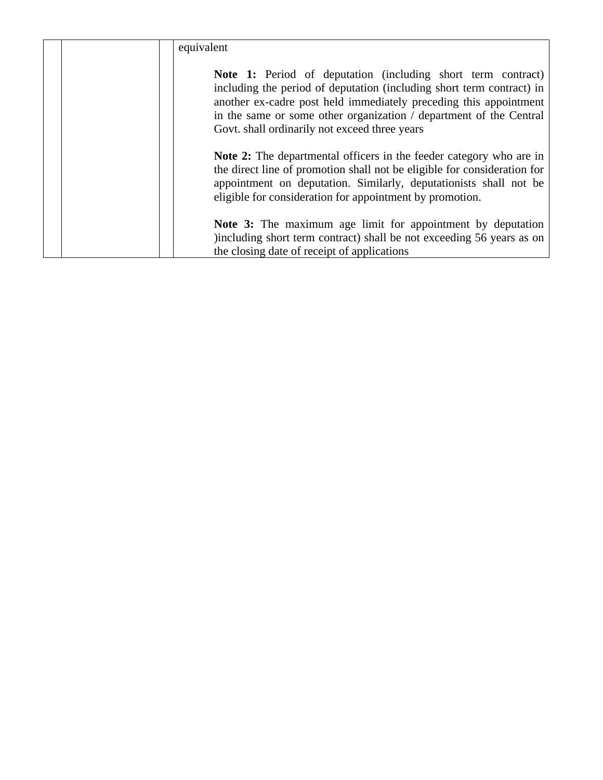| equivalent                                                                                                                                                                                                                                                                                                                        |
|-----------------------------------------------------------------------------------------------------------------------------------------------------------------------------------------------------------------------------------------------------------------------------------------------------------------------------------|
| Note 1: Period of deputation (including short term contract)<br>including the period of deputation (including short term contract) in<br>another ex-cadre post held immediately preceding this appointment<br>in the same or some other organization / department of the Central<br>Govt. shall ordinarily not exceed three years |
| <b>Note 2:</b> The departmental officers in the feeder category who are in<br>the direct line of promotion shall not be eligible for consideration for<br>appointment on deputation. Similarly, deputationists shall not be<br>eligible for consideration for appointment by promotion.                                           |
| <b>Note 3:</b> The maximum age limit for appointment by deputation<br>)including short term contract) shall be not exceeding 56 years as on<br>the closing date of receipt of applications                                                                                                                                        |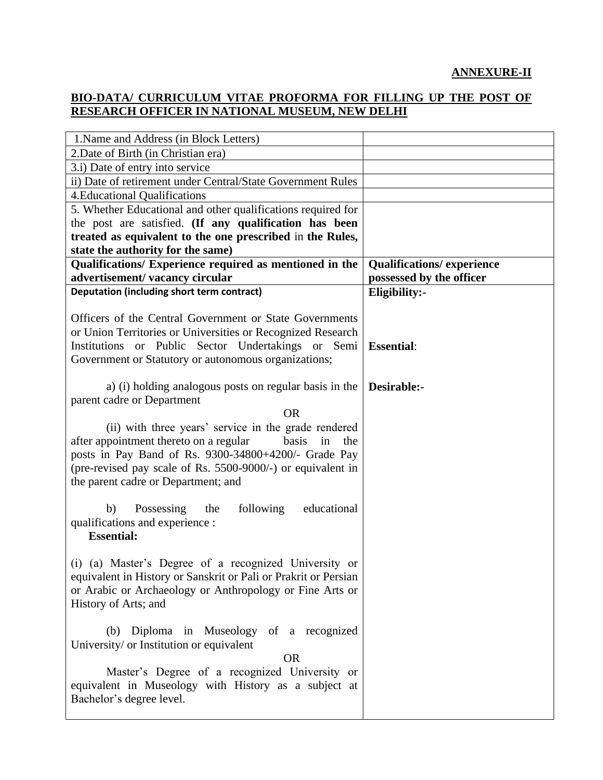#### **BIO-DATA/ CURRICULUM VITAE PROFORMA FOR FILLING UP THE POST OF RESEARCH OFFICER IN NATIONAL MUSEUM, NEW DELHI**

| 1. Name and Address (in Block Letters)<br>2. Date of Birth (in Christian era) |                                  |  |  |  |
|-------------------------------------------------------------------------------|----------------------------------|--|--|--|
| 3.i) Date of entry into service                                               |                                  |  |  |  |
| ii) Date of retirement under Central/State Government Rules                   |                                  |  |  |  |
| <b>4. Educational Qualifications</b>                                          |                                  |  |  |  |
| 5. Whether Educational and other qualifications required for                  |                                  |  |  |  |
| the post are satisfied. (If any qualification has been                        |                                  |  |  |  |
| treated as equivalent to the one prescribed in the Rules,                     |                                  |  |  |  |
| state the authority for the same)                                             |                                  |  |  |  |
| Qualifications/ Experience required as mentioned in the                       | <b>Qualifications/experience</b> |  |  |  |
| advertisement/vacancy circular                                                | possessed by the officer         |  |  |  |
| Deputation (including short term contract)                                    | Eligibility:-                    |  |  |  |
|                                                                               |                                  |  |  |  |
| Officers of the Central Government or State Governments                       |                                  |  |  |  |
| or Union Territories or Universities or Recognized Research                   |                                  |  |  |  |
| Institutions or Public Sector Undertakings or Semi                            | <b>Essential:</b>                |  |  |  |
| Government or Statutory or autonomous organizations;                          |                                  |  |  |  |
|                                                                               |                                  |  |  |  |
| a) (i) holding analogous posts on regular basis in the                        | Desirable:-                      |  |  |  |
| parent cadre or Department                                                    |                                  |  |  |  |
| <b>OR</b>                                                                     |                                  |  |  |  |
| (ii) with three years' service in the grade rendered                          |                                  |  |  |  |
| after appointment thereto on a regular<br>basis<br>in<br>the                  |                                  |  |  |  |
| posts in Pay Band of Rs. 9300-34800+4200/- Grade Pay                          |                                  |  |  |  |
| (pre-revised pay scale of Rs. 5500-9000/-) or equivalent in                   |                                  |  |  |  |
| the parent cadre or Department; and                                           |                                  |  |  |  |
|                                                                               |                                  |  |  |  |
| educational<br>b)<br>Possessing<br>the<br>following                           |                                  |  |  |  |
| qualifications and experience :                                               |                                  |  |  |  |
| <b>Essential:</b>                                                             |                                  |  |  |  |
|                                                                               |                                  |  |  |  |
| (i) (a) Master's Degree of a recognized University or                         |                                  |  |  |  |
| equivalent in History or Sanskrit or Pali or Prakrit or Persian               |                                  |  |  |  |
| or Arabic or Archaeology or Anthropology or Fine Arts or                      |                                  |  |  |  |
| History of Arts; and                                                          |                                  |  |  |  |
|                                                                               |                                  |  |  |  |
| Diploma in Museology of a recognized<br>(b)                                   |                                  |  |  |  |
| University/ or Institution or equivalent                                      |                                  |  |  |  |
| <b>OR</b>                                                                     |                                  |  |  |  |
| Master's Degree of a recognized University or                                 |                                  |  |  |  |
| equivalent in Museology with History as a subject at                          |                                  |  |  |  |
| Bachelor's degree level.                                                      |                                  |  |  |  |
|                                                                               |                                  |  |  |  |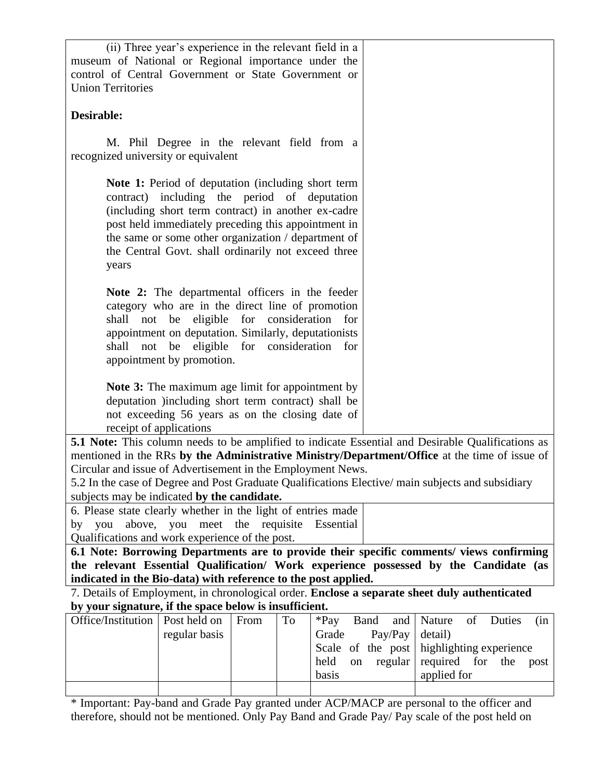| (ii) Three year's experience in the relevant field in a<br>museum of National or Regional importance under the                                                                                                                                                                                                                                 |  |  |  |  |  |  |
|------------------------------------------------------------------------------------------------------------------------------------------------------------------------------------------------------------------------------------------------------------------------------------------------------------------------------------------------|--|--|--|--|--|--|
| control of Central Government or State Government or<br><b>Union Territories</b>                                                                                                                                                                                                                                                               |  |  |  |  |  |  |
| Desirable:                                                                                                                                                                                                                                                                                                                                     |  |  |  |  |  |  |
| M. Phil Degree in the relevant field from a<br>recognized university or equivalent                                                                                                                                                                                                                                                             |  |  |  |  |  |  |
| <b>Note 1:</b> Period of deputation (including short term<br>contract) including the period of deputation<br>(including short term contract) in another ex-cadre<br>post held immediately preceding this appointment in<br>the same or some other organization / department of<br>the Central Govt. shall ordinarily not exceed three<br>years |  |  |  |  |  |  |
| Note 2: The departmental officers in the feeder<br>category who are in the direct line of promotion<br>eligible for consideration<br>shall<br>not be<br>for<br>appointment on deputation. Similarly, deputationists<br>not be eligible for consideration<br>shall<br>for<br>appointment by promotion.                                          |  |  |  |  |  |  |
| Note 3: The maximum age limit for appointment by<br>deputation )including short term contract) shall be<br>not exceeding 56 years as on the closing date of<br>receipt of applications                                                                                                                                                         |  |  |  |  |  |  |
| 5.1 Note: This column needs to be amplified to indicate Essential and Desirable Qualifications as                                                                                                                                                                                                                                              |  |  |  |  |  |  |
| mentioned in the RRs by the Administrative Ministry/Department/Office at the time of issue of                                                                                                                                                                                                                                                  |  |  |  |  |  |  |
| Circular and issue of Advertisement in the Employment News.                                                                                                                                                                                                                                                                                    |  |  |  |  |  |  |
| 5.2 In the case of Degree and Post Graduate Qualifications Elective/ main subjects and subsidiary                                                                                                                                                                                                                                              |  |  |  |  |  |  |
| subjects may be indicated by the candidate.                                                                                                                                                                                                                                                                                                    |  |  |  |  |  |  |
| 6. Please state clearly whether in the light of entries made                                                                                                                                                                                                                                                                                   |  |  |  |  |  |  |
| above, you meet the requisite<br>Essential<br>you<br>by<br>Qualifications and work experience of the post.                                                                                                                                                                                                                                     |  |  |  |  |  |  |
| 6.1 Note: Rorrowing Departments are to provide their specific comments/ views confirming                                                                                                                                                                                                                                                       |  |  |  |  |  |  |

**6.1 Borrowing Departments are to provide their specific comments/ views confirming the relevant Essential Qualification/ Work experience possessed by the Candidate (as indicated in the Bio-data) with reference to the post applied.**

7. Details of Employment, in chronological order. **Enclose a separate sheet duly authenticated by your signature, if the space below is insufficient.**

| Office/Institution   Post held on   From |               | To | $P_{\rm av}$ |                   | Band and Nature of Duties                 |  | (in  |
|------------------------------------------|---------------|----|--------------|-------------------|-------------------------------------------|--|------|
|                                          | regular basis |    | Grade        | $Pay/Pay$ detail) |                                           |  |      |
|                                          |               |    |              |                   | Scale of the post highlighting experience |  |      |
|                                          |               |    | held         |                   | on regular required for the               |  | post |
|                                          |               |    | basis        |                   | applied for                               |  |      |
|                                          |               |    |              |                   |                                           |  |      |

\* Important: Pay-band and Grade Pay granted under ACP/MACP are personal to the officer and therefore, should not be mentioned. Only Pay Band and Grade Pay/ Pay scale of the post held on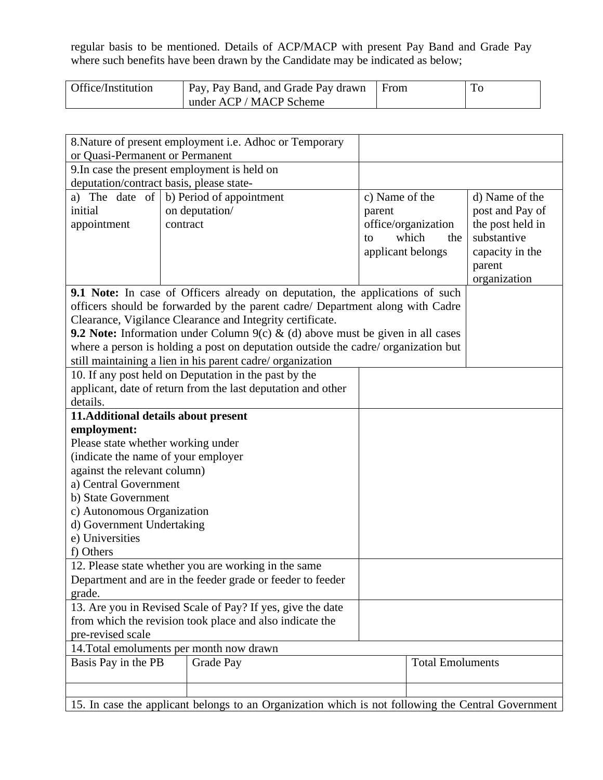regular basis to be mentioned. Details of ACP/MACP with present Pay Band and Grade Pay where such benefits have been drawn by the Candidate may be indicated as below;

| Office/Institution | Pay, Pay Band, and Grade Pay drawn | l From |  |
|--------------------|------------------------------------|--------|--|
|                    | under ACP / MACP Scheme            |        |  |

|                                          |                                                                                                    | 8. Nature of present employment i.e. Adhoc or Temporary                                 |                |                         |                  |  |
|------------------------------------------|----------------------------------------------------------------------------------------------------|-----------------------------------------------------------------------------------------|----------------|-------------------------|------------------|--|
| or Quasi-Permanent or Permanent          |                                                                                                    |                                                                                         |                |                         |                  |  |
|                                          |                                                                                                    | 9. In case the present employment is held on                                            |                |                         |                  |  |
| deputation/contract basis, please state- |                                                                                                    |                                                                                         |                |                         |                  |  |
| a) The date of                           |                                                                                                    | b) Period of appointment                                                                | c) Name of the |                         | d) Name of the   |  |
| initial                                  |                                                                                                    | on deputation/                                                                          | parent         |                         | post and Pay of  |  |
| appointment                              | contract                                                                                           |                                                                                         |                | office/organization     | the post held in |  |
|                                          |                                                                                                    |                                                                                         | to             | which<br>the            | substantive      |  |
|                                          |                                                                                                    |                                                                                         |                | applicant belongs       | capacity in the  |  |
|                                          |                                                                                                    |                                                                                         |                |                         | parent           |  |
|                                          |                                                                                                    |                                                                                         |                |                         | organization     |  |
|                                          |                                                                                                    | 9.1 Note: In case of Officers already on deputation, the applications of such           |                |                         |                  |  |
|                                          |                                                                                                    | officers should be forwarded by the parent cadre/ Department along with Cadre           |                |                         |                  |  |
|                                          |                                                                                                    | Clearance, Vigilance Clearance and Integrity certificate.                               |                |                         |                  |  |
|                                          |                                                                                                    | <b>9.2 Note:</b> Information under Column $9(c)$ & (d) above must be given in all cases |                |                         |                  |  |
|                                          |                                                                                                    | where a person is holding a post on deputation outside the cadre/organization but       |                |                         |                  |  |
|                                          |                                                                                                    | still maintaining a lien in his parent cadre/ organization                              |                |                         |                  |  |
|                                          |                                                                                                    | 10. If any post held on Deputation in the past by the                                   |                |                         |                  |  |
|                                          |                                                                                                    | applicant, date of return from the last deputation and other                            |                |                         |                  |  |
| details.                                 |                                                                                                    |                                                                                         |                |                         |                  |  |
| 11. Additional details about present     |                                                                                                    |                                                                                         |                |                         |                  |  |
| employment:                              |                                                                                                    |                                                                                         |                |                         |                  |  |
| Please state whether working under       |                                                                                                    |                                                                                         |                |                         |                  |  |
| (indicate the name of your employer      |                                                                                                    |                                                                                         |                |                         |                  |  |
| against the relevant column)             |                                                                                                    |                                                                                         |                |                         |                  |  |
| a) Central Government                    |                                                                                                    |                                                                                         |                |                         |                  |  |
| b) State Government                      |                                                                                                    |                                                                                         |                |                         |                  |  |
| c) Autonomous Organization               |                                                                                                    |                                                                                         |                |                         |                  |  |
| d) Government Undertaking                |                                                                                                    |                                                                                         |                |                         |                  |  |
| e) Universities                          |                                                                                                    |                                                                                         |                |                         |                  |  |
| f) Others                                |                                                                                                    |                                                                                         |                |                         |                  |  |
|                                          |                                                                                                    | 12. Please state whether you are working in the same                                    |                |                         |                  |  |
|                                          |                                                                                                    | Department and are in the feeder grade or feeder to feeder                              |                |                         |                  |  |
| grade.                                   |                                                                                                    |                                                                                         |                |                         |                  |  |
|                                          |                                                                                                    | 13. Are you in Revised Scale of Pay? If yes, give the date                              |                |                         |                  |  |
|                                          |                                                                                                    | from which the revision took place and also indicate the                                |                |                         |                  |  |
| pre-revised scale                        |                                                                                                    |                                                                                         |                |                         |                  |  |
|                                          |                                                                                                    | 14. Total emoluments per month now drawn                                                |                |                         |                  |  |
| Basis Pay in the PB<br>Grade Pay         |                                                                                                    |                                                                                         |                | <b>Total Emoluments</b> |                  |  |
|                                          |                                                                                                    |                                                                                         |                |                         |                  |  |
|                                          |                                                                                                    |                                                                                         |                |                         |                  |  |
|                                          | 15. In case the applicant belongs to an Organization which is not following the Central Government |                                                                                         |                |                         |                  |  |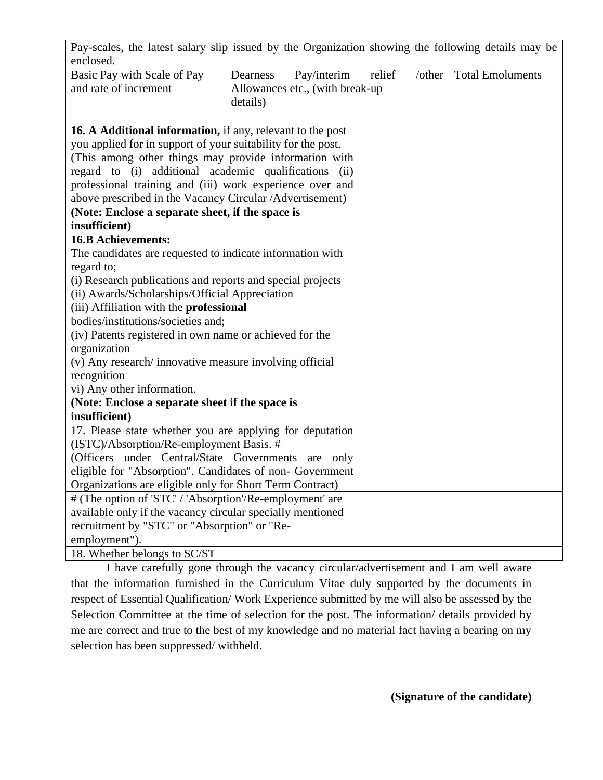| Pay-scales, the latest salary slip issued by the Organization showing the following details may be |                                 |                  |                         |
|----------------------------------------------------------------------------------------------------|---------------------------------|------------------|-------------------------|
| enclosed.                                                                                          |                                 |                  |                         |
| Basic Pay with Scale of Pay                                                                        | Pay/interim<br>Dearness         | relief<br>/other | <b>Total Emoluments</b> |
| and rate of increment                                                                              | Allowances etc., (with break-up |                  |                         |
|                                                                                                    | details)                        |                  |                         |
|                                                                                                    |                                 |                  |                         |
| 16. A Additional information, if any, relevant to the post                                         |                                 |                  |                         |
| you applied for in support of your suitability for the post.                                       |                                 |                  |                         |
| (This among other things may provide information with                                              |                                 |                  |                         |
| regard to (i) additional academic qualifications                                                   | (ii)                            |                  |                         |
| professional training and (iii) work experience over and                                           |                                 |                  |                         |
| above prescribed in the Vacancy Circular / Advertisement)                                          |                                 |                  |                         |
| (Note: Enclose a separate sheet, if the space is                                                   |                                 |                  |                         |
| insufficient)                                                                                      |                                 |                  |                         |
| <b>16.B Achievements:</b>                                                                          |                                 |                  |                         |
| The candidates are requested to indicate information with                                          |                                 |                  |                         |
| regard to;                                                                                         |                                 |                  |                         |
| (i) Research publications and reports and special projects                                         |                                 |                  |                         |
| (ii) Awards/Scholarships/Official Appreciation                                                     |                                 |                  |                         |
| (iii) Affiliation with the professional                                                            |                                 |                  |                         |
| bodies/institutions/societies and;                                                                 |                                 |                  |                         |
| (iv) Patents registered in own name or achieved for the                                            |                                 |                  |                         |
| organization                                                                                       |                                 |                  |                         |
| (v) Any research/innovative measure involving official                                             |                                 |                  |                         |
| recognition                                                                                        |                                 |                  |                         |
| vi) Any other information.                                                                         |                                 |                  |                         |
| (Note: Enclose a separate sheet if the space is                                                    |                                 |                  |                         |
| insufficient)                                                                                      |                                 |                  |                         |
| 17. Please state whether you are applying for deputation                                           |                                 |                  |                         |
| (ISTC)/Absorption/Re-employment Basis. #                                                           |                                 |                  |                         |
| (Officers under Central/State Governments                                                          |                                 |                  |                         |
| eligible for "Absorption". Candidates of non- Government                                           |                                 |                  |                         |
| Organizations are eligible only for Short Term Contract)                                           |                                 |                  |                         |
| # (The option of 'STC' / 'Absorption'/Re-employment' are                                           |                                 |                  |                         |
| available only if the vacancy circular specially mentioned                                         |                                 |                  |                         |
| recruitment by "STC" or "Absorption" or "Re-                                                       |                                 |                  |                         |
| employment").                                                                                      |                                 |                  |                         |
| 18. Whether belongs to SC/ST                                                                       |                                 |                  |                         |

I have carefully gone through the vacancy circular/advertisement and I am well aware that the information furnished in the Curriculum Vitae duly supported by the documents in respect of Essential Qualification/ Work Experience submitted by me will also be assessed by the Selection Committee at the time of selection for the post. The information/ details provided by me are correct and true to the best of my knowledge and no material fact having a bearing on my selection has been suppressed/ withheld.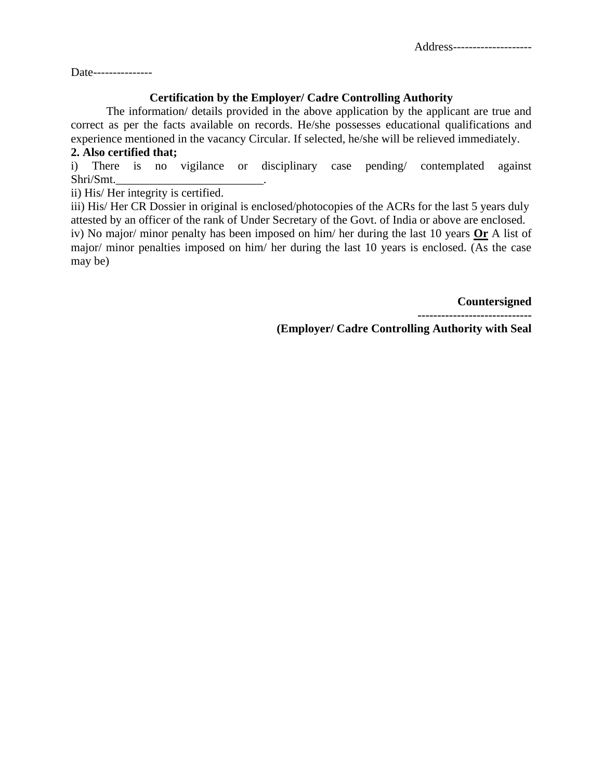Date---------------

# **Certification by the Employer/ Cadre Controlling Authority**

The information/ details provided in the above application by the applicant are true and correct as per the facts available on records. He/she possesses educational qualifications and experience mentioned in the vacancy Circular. If selected, he/she will be relieved immediately.

# **2. Also certified that;**

i) There is no vigilance or disciplinary case pending/ contemplated against Shri/Smt.

ii) His/ Her integrity is certified.

iii) His/ Her CR Dossier in original is enclosed/photocopies of the ACRs for the last 5 years duly attested by an officer of the rank of Under Secretary of the Govt. of India or above are enclosed.

iv) No major/ minor penalty has been imposed on him/ her during the last 10 years **Or** A list of major/ minor penalties imposed on him/ her during the last 10 years is enclosed. (As the case may be)

> **Countersigned ----------------------------- (Employer/ Cadre Controlling Authority with Seal**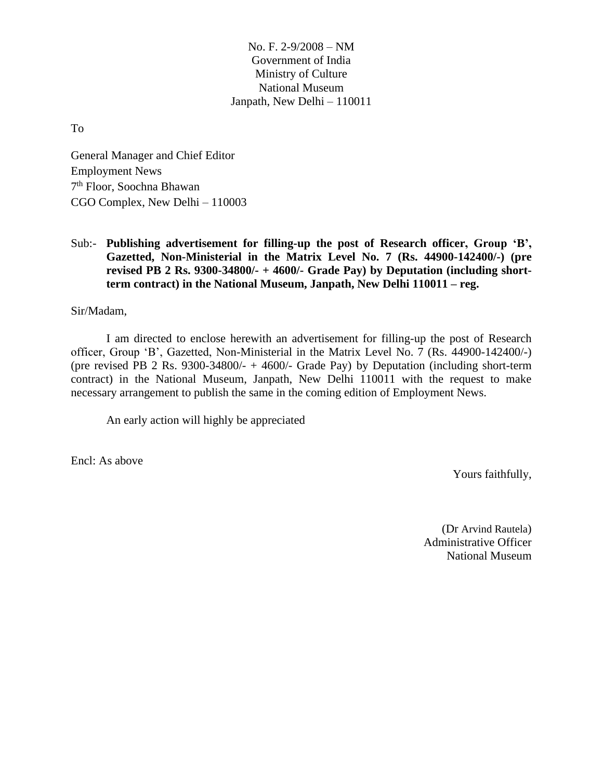#### No. F. 2-9/2008 – NM Government of India Ministry of Culture National Museum Janpath, New Delhi – 110011

To

General Manager and Chief Editor Employment News 7 th Floor, Soochna Bhawan CGO Complex, New Delhi – 110003

Sub:- **Publishing advertisement for filling-up the post of Research officer, Group 'B', Gazetted, Non-Ministerial in the Matrix Level No. 7 (Rs. 44900-142400/-) (pre revised PB 2 Rs. 9300-34800/- + 4600/- Grade Pay) by Deputation (including shortterm contract) in the National Museum, Janpath, New Delhi 110011 – reg.**

Sir/Madam,

I am directed to enclose herewith an advertisement for filling-up the post of Research officer, Group 'B', Gazetted, Non-Ministerial in the Matrix Level No. 7 (Rs. 44900-142400/-) (pre revised PB 2 Rs. 9300-34800/-  $+$  4600/- Grade Pay) by Deputation (including short-term contract) in the National Museum, Janpath, New Delhi 110011 with the request to make necessary arrangement to publish the same in the coming edition of Employment News.

An early action will highly be appreciated

Encl: As above

Yours faithfully,

(Dr Arvind Rautela) Administrative Officer National Museum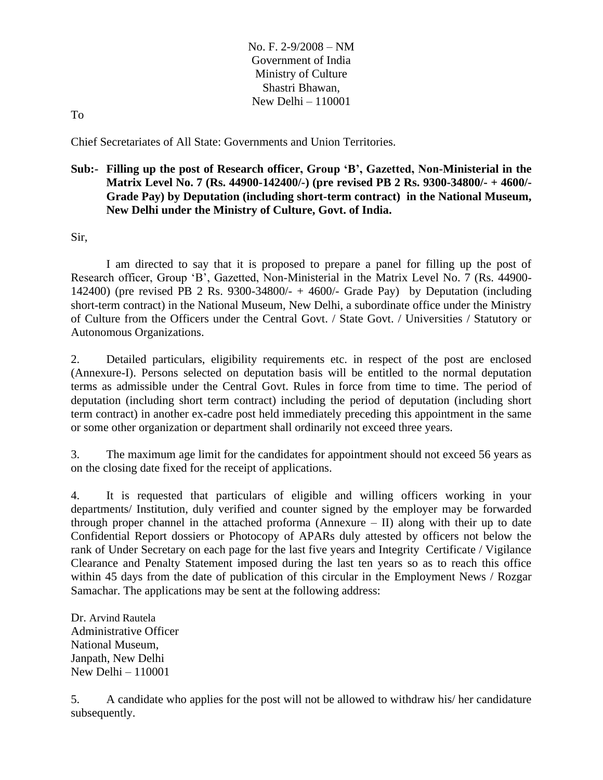No. F. 2-9/2008 – NM Government of India Ministry of Culture Shastri Bhawan, New Delhi – 110001

To

Chief Secretariates of All State: Governments and Union Territories.

# **Sub:- Filling up the post of Research officer, Group 'B', Gazetted, Non-Ministerial in the Matrix Level No. 7 (Rs. 44900-142400/-) (pre revised PB 2 Rs. 9300-34800/- + 4600/- Grade Pay) by Deputation (including short-term contract) in the National Museum, New Delhi under the Ministry of Culture, Govt. of India.**

Sir,

I am directed to say that it is proposed to prepare a panel for filling up the post of Research officer, Group 'B', Gazetted, Non-Ministerial in the Matrix Level No. 7 (Rs. 44900- 142400) (pre revised PB 2 Rs. 9300-34800/- + 4600/- Grade Pay) by Deputation (including short-term contract) in the National Museum, New Delhi, a subordinate office under the Ministry of Culture from the Officers under the Central Govt. / State Govt. / Universities / Statutory or Autonomous Organizations.

2. Detailed particulars, eligibility requirements etc. in respect of the post are enclosed (Annexure-I). Persons selected on deputation basis will be entitled to the normal deputation terms as admissible under the Central Govt. Rules in force from time to time. The period of deputation (including short term contract) including the period of deputation (including short term contract) in another ex-cadre post held immediately preceding this appointment in the same or some other organization or department shall ordinarily not exceed three years.

3. The maximum age limit for the candidates for appointment should not exceed 56 years as on the closing date fixed for the receipt of applications.

4. It is requested that particulars of eligible and willing officers working in your departments/ Institution, duly verified and counter signed by the employer may be forwarded through proper channel in the attached proforma (Annexure  $-$  II) along with their up to date Confidential Report dossiers or Photocopy of APARs duly attested by officers not below the rank of Under Secretary on each page for the last five years and Integrity Certificate / Vigilance Clearance and Penalty Statement imposed during the last ten years so as to reach this office within 45 days from the date of publication of this circular in the Employment News / Rozgar Samachar. The applications may be sent at the following address:

Dr. Arvind Rautela Administrative Officer National Museum, Janpath, New Delhi New Delhi – 110001

5. A candidate who applies for the post will not be allowed to withdraw his/ her candidature subsequently.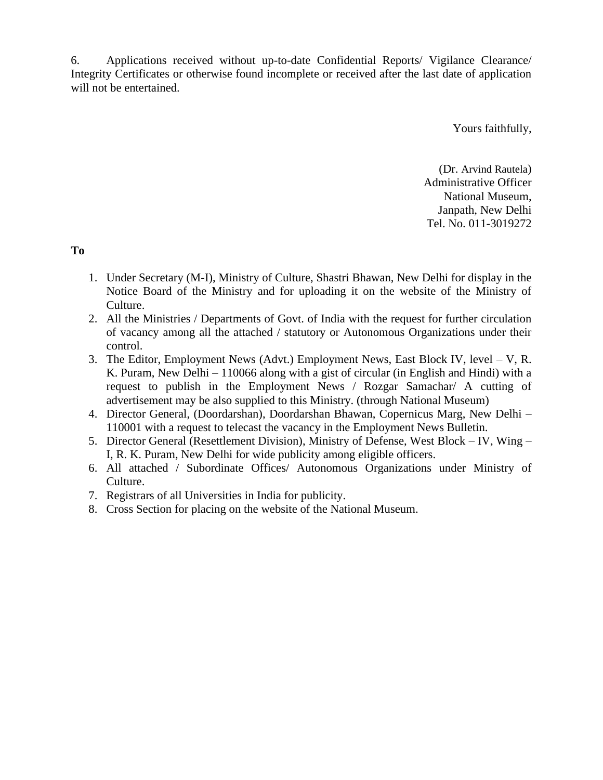6. Applications received without up-to-date Confidential Reports/ Vigilance Clearance/ Integrity Certificates or otherwise found incomplete or received after the last date of application will not be entertained.

Yours faithfully,

(Dr. Arvind Rautela) Administrative Officer National Museum, Janpath, New Delhi Tel. No. 011-3019272

**To**

- 1. Under Secretary (M-I), Ministry of Culture, Shastri Bhawan, New Delhi for display in the Notice Board of the Ministry and for uploading it on the website of the Ministry of Culture.
- 2. All the Ministries / Departments of Govt. of India with the request for further circulation of vacancy among all the attached / statutory or Autonomous Organizations under their control.
- 3. The Editor, Employment News (Advt.) Employment News, East Block IV, level V, R. K. Puram, New Delhi – 110066 along with a gist of circular (in English and Hindi) with a request to publish in the Employment News / Rozgar Samachar/ A cutting of advertisement may be also supplied to this Ministry. (through National Museum)
- 4. Director General, (Doordarshan), Doordarshan Bhawan, Copernicus Marg, New Delhi 110001 with a request to telecast the vacancy in the Employment News Bulletin.
- 5. Director General (Resettlement Division), Ministry of Defense, West Block IV, Wing I, R. K. Puram, New Delhi for wide publicity among eligible officers.
- 6. All attached / Subordinate Offices/ Autonomous Organizations under Ministry of Culture.
- 7. Registrars of all Universities in India for publicity.
- 8. Cross Section for placing on the website of the National Museum.